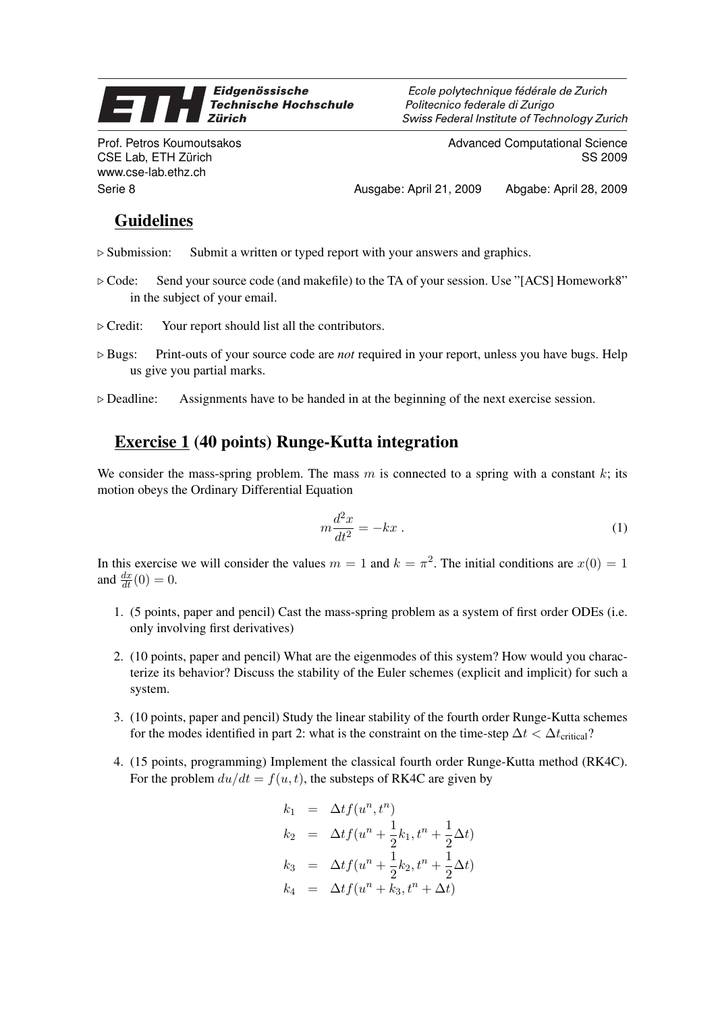## Eidgenössische **ST Technische Hochschule Zürich**

Prof. Petros Koumoutsakos CSE Lab, ETH Zürich www.cse-lab.ethz.ch

Ecole polytechnique fédérale de Zurich Politecnico federale di Zurigo Swiss Federal Institute of Technology Zurich

> Advanced Computational Science SS 2009

Serie 8 Ausgabe: April 21, 2009 Abgabe: April 28, 2009

## Guidelines

- $\triangleright$  Submission: Submit a written or typed report with your answers and graphics.
- . Code: Send your source code (and makefile) to the TA of your session. Use "[ACS] Homework8" in the subject of your email.
- $\triangleright$  Credit: Your report should list all the contributors.
- . Bugs: Print-outs of your source code are *not* required in your report, unless you have bugs. Help us give you partial marks.
- $\triangleright$  Deadline: Assignments have to be handed in at the beginning of the next exercise session.

## Exercise 1 (40 points) Runge-Kutta integration

We consider the mass-spring problem. The mass  $m$  is connected to a spring with a constant  $k$ ; its motion obeys the Ordinary Differential Equation

$$
m\frac{d^2x}{dt^2} = -kx\ .
$$
 (1)

In this exercise we will consider the values  $m = 1$  and  $k = \pi^2$ . The initial conditions are  $x(0) = 1$ and  $\frac{dx}{dt}(0) = 0$ .

- 1. (5 points, paper and pencil) Cast the mass-spring problem as a system of first order ODEs (i.e. only involving first derivatives)
- 2. (10 points, paper and pencil) What are the eigenmodes of this system? How would you characterize its behavior? Discuss the stability of the Euler schemes (explicit and implicit) for such a system.
- 3. (10 points, paper and pencil) Study the linear stability of the fourth order Runge-Kutta schemes for the modes identified in part 2: what is the constraint on the time-step  $\Delta t < \Delta t$ <sub>critical</sub>?
- 4. (15 points, programming) Implement the classical fourth order Runge-Kutta method (RK4C). For the problem  $du/dt = f(u, t)$ , the substeps of RK4C are given by

$$
k_1 = \Delta t f(u^n, t^n)
$$
  
\n
$$
k_2 = \Delta t f(u^n + \frac{1}{2}k_1, t^n + \frac{1}{2}\Delta t)
$$
  
\n
$$
k_3 = \Delta t f(u^n + \frac{1}{2}k_2, t^n + \frac{1}{2}\Delta t)
$$
  
\n
$$
k_4 = \Delta t f(u^n + k_3, t^n + \Delta t)
$$